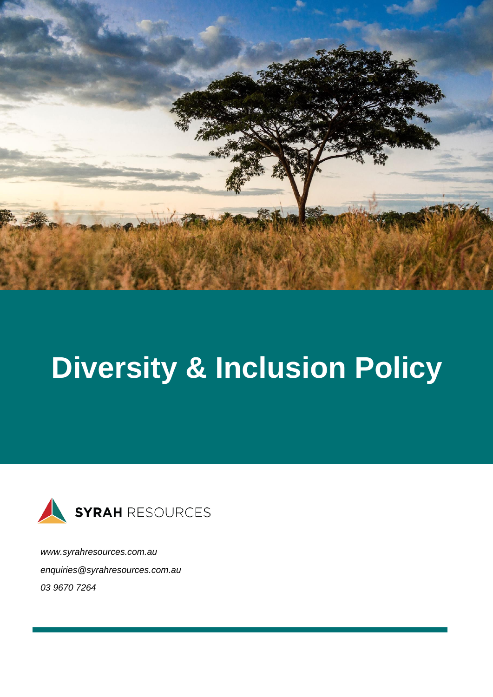

# **Diversity & Inclusion Policy**



*[www.syrahresources.com.au](http://www.syrahresources.com.au/) enquiries@syrahresources.com.au 03 9670 7264*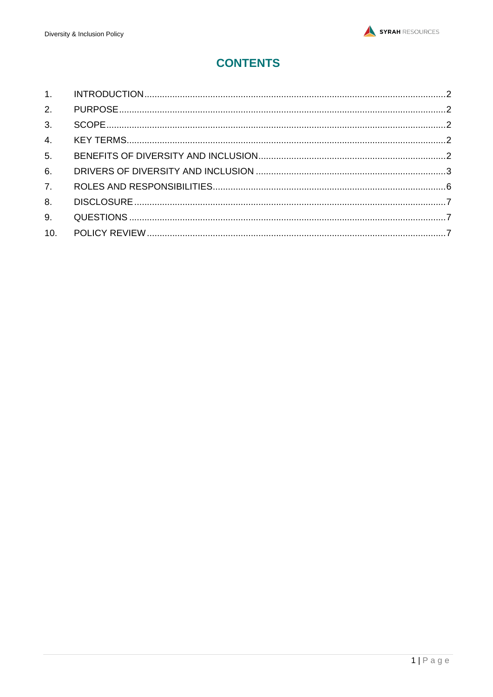# **CONTENTS**

| 3 <sub>l</sub> |  |
|----------------|--|
|                |  |
| 5 <sub>1</sub> |  |
| 6.             |  |
| 7 <sup>1</sup> |  |
| 8.             |  |
| 9.             |  |
| 10.            |  |
|                |  |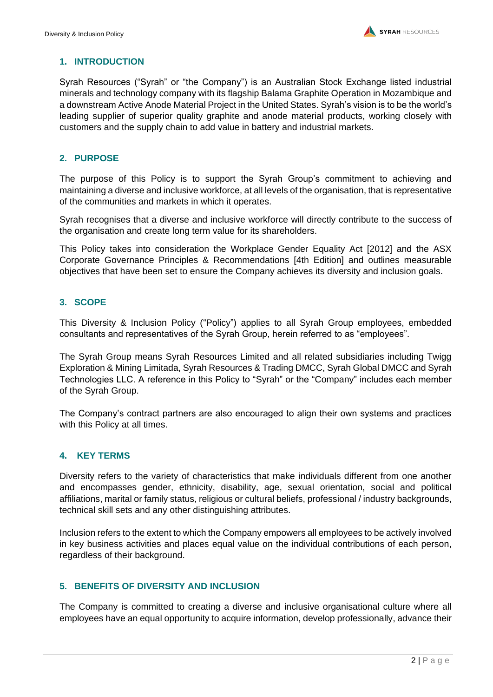# <span id="page-2-0"></span>**1. INTRODUCTION**

Syrah Resources ("Syrah" or "the Company") is an Australian Stock Exchange listed industrial minerals and technology company with its flagship Balama Graphite Operation in Mozambique and a downstream Active Anode Material Project in the United States. Syrah's vision is to be the world's leading supplier of superior quality graphite and anode material products, working closely with customers and the supply chain to add value in battery and industrial markets.

# <span id="page-2-1"></span>**2. PURPOSE**

The purpose of this Policy is to support the Syrah Group's commitment to achieving and maintaining a diverse and inclusive workforce, at all levels of the organisation, that is representative of the communities and markets in which it operates.

Syrah recognises that a diverse and inclusive workforce will directly contribute to the success of the organisation and create long term value for its shareholders.

This Policy takes into consideration the Workplace Gender Equality Act [2012] and the ASX Corporate Governance Principles & Recommendations [4th Edition] and outlines measurable objectives that have been set to ensure the Company achieves its diversity and inclusion goals.

# <span id="page-2-2"></span>**3. SCOPE**

This Diversity & Inclusion Policy ("Policy") applies to all Syrah Group employees, embedded consultants and representatives of the Syrah Group, herein referred to as "employees".

The Syrah Group means Syrah Resources Limited and all related subsidiaries including Twigg Exploration & Mining Limitada, Syrah Resources & Trading DMCC, Syrah Global DMCC and Syrah Technologies LLC. A reference in this Policy to "Syrah" or the "Company" includes each member of the Syrah Group.

The Company's contract partners are also encouraged to align their own systems and practices with this Policy at all times.

#### <span id="page-2-3"></span>**4. KEY TERMS**

Diversity refers to the variety of characteristics that make individuals different from one another and encompasses gender, ethnicity, disability, age, sexual orientation, social and political affiliations, marital or family status, religious or cultural beliefs, professional / industry backgrounds, technical skill sets and any other distinguishing attributes.

Inclusion refers to the extent to which the Company empowers all employees to be actively involved in key business activities and places equal value on the individual contributions of each person, regardless of their background.

# <span id="page-2-4"></span>**5. BENEFITS OF DIVERSITY AND INCLUSION**

The Company is committed to creating a diverse and inclusive organisational culture where all employees have an equal opportunity to acquire information, develop professionally, advance their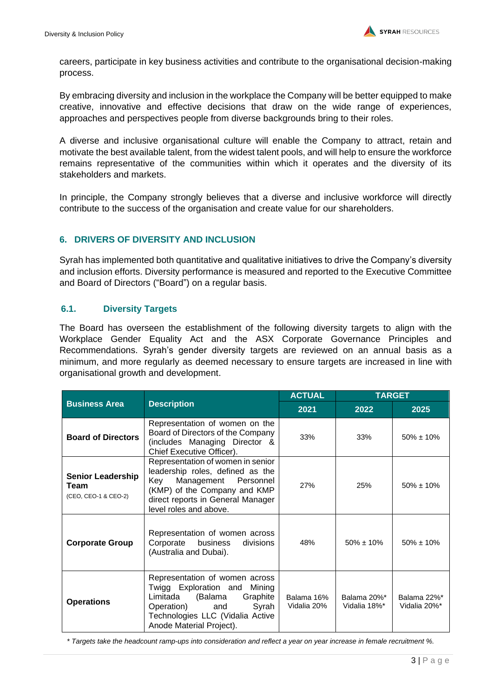careers, participate in key business activities and contribute to the organisational decision-making process.

By embracing diversity and inclusion in the workplace the Company will be better equipped to make creative, innovative and effective decisions that draw on the wide range of experiences, approaches and perspectives people from diverse backgrounds bring to their roles.

A diverse and inclusive organisational culture will enable the Company to attract, retain and motivate the best available talent, from the widest talent pools, and will help to ensure the workforce remains representative of the communities within which it operates and the diversity of its stakeholders and markets.

In principle, the Company strongly believes that a diverse and inclusive workforce will directly contribute to the success of the organisation and create value for our shareholders.

#### <span id="page-3-0"></span>**6. DRIVERS OF DIVERSITY AND INCLUSION**

Syrah has implemented both quantitative and qualitative initiatives to drive the Company's diversity and inclusion efforts. Diversity performance is measured and reported to the Executive Committee and Board of Directors ("Board") on a regular basis.

#### **6.1. Diversity Targets**

The Board has overseen the establishment of the following diversity targets to align with the Workplace Gender Equality Act and the ASX Corporate Governance Principles and Recommendations. Syrah's gender diversity targets are reviewed on an annual basis as a minimum, and more regularly as deemed necessary to ensure targets are increased in line with organisational growth and development.

|                                                          |                                                                                                                                                                                                     | <b>ACTUAL</b>             |                             | <b>TARGET</b>               |
|----------------------------------------------------------|-----------------------------------------------------------------------------------------------------------------------------------------------------------------------------------------------------|---------------------------|-----------------------------|-----------------------------|
| <b>Business Area</b>                                     | <b>Description</b>                                                                                                                                                                                  | 2021                      | 2022                        | 2025                        |
| <b>Board of Directors</b>                                | Representation of women on the<br>Board of Directors of the Company<br>(includes Managing Director &<br>Chief Executive Officer).                                                                   | 33%                       | 33%                         | $50\% \pm 10\%$             |
| <b>Senior Leadership</b><br>Team<br>(CEO, CEO-1 & CEO-2) | Representation of women in senior<br>leadership roles, defined as the<br>Management Personnel<br>Kev<br>(KMP) of the Company and KMP<br>direct reports in General Manager<br>level roles and above. | 27%                       | 25%                         | $50\% \pm 10\%$             |
| <b>Corporate Group</b>                                   | Representation of women across<br>Corporate business<br>divisions<br>(Australia and Dubai).                                                                                                         | 48%                       | $50\% \pm 10\%$             | $50\% \pm 10\%$             |
| <b>Operations</b>                                        | Representation of women across<br>Twigg Exploration and Mining<br>(Balama<br>Graphite<br>Limitada<br>Operation) and<br>Syrah<br>Technologies LLC (Vidalia Active<br>Anode Material Project).        | Balama 16%<br>Vidalia 20% | Balama 20%*<br>Vidalia 18%* | Balama 22%*<br>Vidalia 20%* |

*\* Targets take the headcount ramp-ups into consideration and reflect a year on year increase in female recruitment %.*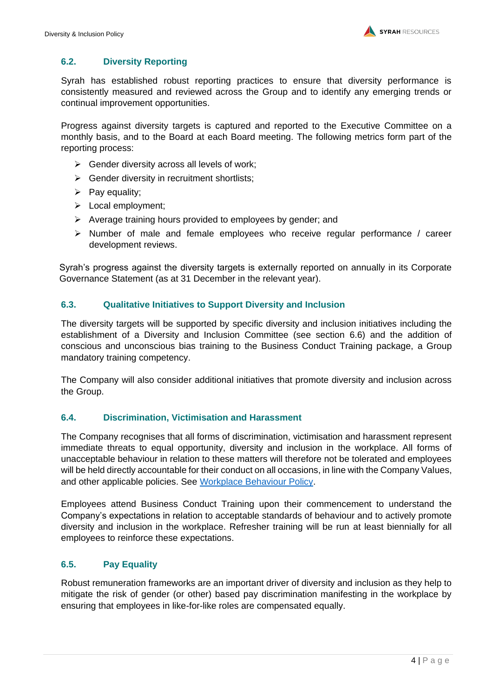### **6.2. Diversity Reporting**

Syrah has established robust reporting practices to ensure that diversity performance is consistently measured and reviewed across the Group and to identify any emerging trends or continual improvement opportunities.

Progress against diversity targets is captured and reported to the Executive Committee on a monthly basis, and to the Board at each Board meeting. The following metrics form part of the reporting process:

- $\triangleright$  Gender diversity across all levels of work;
- ➢ Gender diversity in recruitment shortlists;
- $\triangleright$  Pay equality;
- ➢ Local employment;
- ➢ Average training hours provided to employees by gender; and
- $\triangleright$  Number of male and female employees who receive regular performance / career development reviews.

Syrah's progress against the diversity targets is externally reported on annually in its Corporate Governance Statement (as at 31 December in the relevant year).

#### **6.3. Qualitative Initiatives to Support Diversity and Inclusion**

The diversity targets will be supported by specific diversity and inclusion initiatives including the establishment of a Diversity and Inclusion Committee (see section 6.6) and the addition of conscious and unconscious bias training to the Business Conduct Training package, a Group mandatory training competency.

The Company will also consider additional initiatives that promote diversity and inclusion across the Group.

#### **6.4. Discrimination, Victimisation and Harassment**

The Company recognises that all forms of discrimination, victimisation and harassment represent immediate threats to equal opportunity, diversity and inclusion in the workplace. All forms of unacceptable behaviour in relation to these matters will therefore not be tolerated and employees will be held directly accountable for their conduct on all occasions, in line with the Company Values, and other applicable policies. See [Workplace Behaviour Policy.](http://www.syrahresources.com.au/corporate-governance)

Employees attend Business Conduct Training upon their commencement to understand the Company's expectations in relation to acceptable standards of behaviour and to actively promote diversity and inclusion in the workplace. Refresher training will be run at least biennially for all employees to reinforce these expectations.

#### **6.5. Pay Equality**

Robust remuneration frameworks are an important driver of diversity and inclusion as they help to mitigate the risk of gender (or other) based pay discrimination manifesting in the workplace by ensuring that employees in like-for-like roles are compensated equally.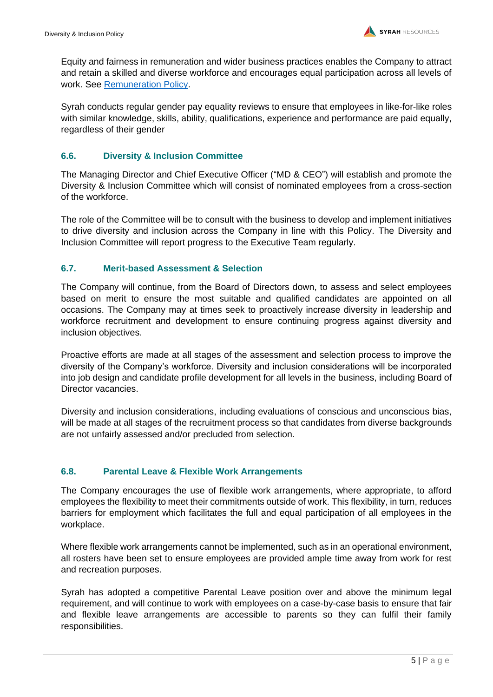Equity and fairness in remuneration and wider business practices enables the Company to attract and retain a skilled and diverse workforce and encourages equal participation across all levels of work. See [Remuneration Policy.](https://www.syrahresources.com.au/application/third_party/ckfinder/userfiles/files/20210916_POL-Remuneration%20Policy.pdf)

Syrah conducts regular gender pay equality reviews to ensure that employees in like-for-like roles with similar knowledge, skills, ability, qualifications, experience and performance are paid equally, regardless of their gender

# **6.6. Diversity & Inclusion Committee**

The Managing Director and Chief Executive Officer ("MD & CEO") will establish and promote the Diversity & Inclusion Committee which will consist of nominated employees from a cross-section of the workforce.

The role of the Committee will be to consult with the business to develop and implement initiatives to drive diversity and inclusion across the Company in line with this Policy. The Diversity and Inclusion Committee will report progress to the Executive Team regularly.

#### **6.7. Merit-based Assessment & Selection**

The Company will continue, from the Board of Directors down, to assess and select employees based on merit to ensure the most suitable and qualified candidates are appointed on all occasions. The Company may at times seek to proactively increase diversity in leadership and workforce recruitment and development to ensure continuing progress against diversity and inclusion objectives.

Proactive efforts are made at all stages of the assessment and selection process to improve the diversity of the Company's workforce. Diversity and inclusion considerations will be incorporated into job design and candidate profile development for all levels in the business, including Board of Director vacancies.

Diversity and inclusion considerations, including evaluations of conscious and unconscious bias, will be made at all stages of the recruitment process so that candidates from diverse backgrounds are not unfairly assessed and/or precluded from selection.

#### **6.8. Parental Leave & Flexible Work Arrangements**

The Company encourages the use of flexible work arrangements, where appropriate, to afford employees the flexibility to meet their commitments outside of work. This flexibility, in turn, reduces barriers for employment which facilitates the full and equal participation of all employees in the workplace.

Where flexible work arrangements cannot be implemented, such as in an operational environment, all rosters have been set to ensure employees are provided ample time away from work for rest and recreation purposes.

Syrah has adopted a competitive Parental Leave position over and above the minimum legal requirement, and will continue to work with employees on a case-by-case basis to ensure that fair and flexible leave arrangements are accessible to parents so they can fulfil their family responsibilities.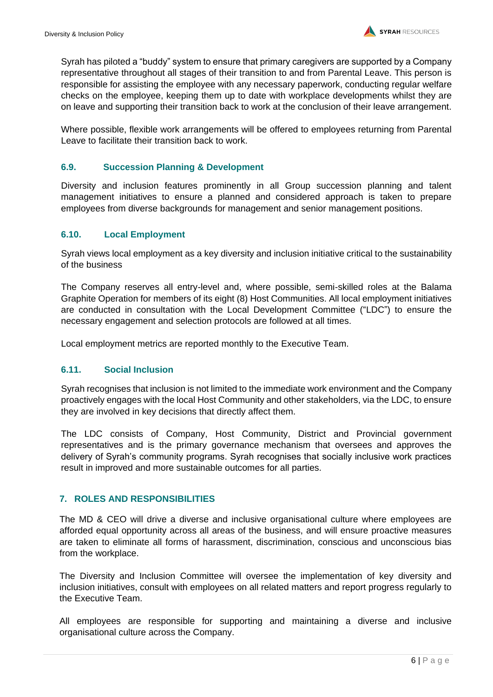Syrah has piloted a "buddy" system to ensure that primary caregivers are supported by a Company representative throughout all stages of their transition to and from Parental Leave. This person is responsible for assisting the employee with any necessary paperwork, conducting regular welfare checks on the employee, keeping them up to date with workplace developments whilst they are on leave and supporting their transition back to work at the conclusion of their leave arrangement.

Where possible, flexible work arrangements will be offered to employees returning from Parental Leave to facilitate their transition back to work.

# **6.9. Succession Planning & Development**

Diversity and inclusion features prominently in all Group succession planning and talent management initiatives to ensure a planned and considered approach is taken to prepare employees from diverse backgrounds for management and senior management positions.

# **6.10. Local Employment**

Syrah views local employment as a key diversity and inclusion initiative critical to the sustainability of the business

The Company reserves all entry-level and, where possible, semi-skilled roles at the Balama Graphite Operation for members of its eight (8) Host Communities. All local employment initiatives are conducted in consultation with the Local Development Committee ("LDC") to ensure the necessary engagement and selection protocols are followed at all times.

Local employment metrics are reported monthly to the Executive Team.

#### **6.11. Social Inclusion**

Syrah recognises that inclusion is not limited to the immediate work environment and the Company proactively engages with the local Host Community and other stakeholders, via the LDC, to ensure they are involved in key decisions that directly affect them.

The LDC consists of Company, Host Community, District and Provincial government representatives and is the primary governance mechanism that oversees and approves the delivery of Syrah's community programs. Syrah recognises that socially inclusive work practices result in improved and more sustainable outcomes for all parties.

#### <span id="page-6-0"></span>**7. ROLES AND RESPONSIBILITIES**

The MD & CEO will drive a diverse and inclusive organisational culture where employees are afforded equal opportunity across all areas of the business, and will ensure proactive measures are taken to eliminate all forms of harassment, discrimination, conscious and unconscious bias from the workplace.

The Diversity and Inclusion Committee will oversee the implementation of key diversity and inclusion initiatives, consult with employees on all related matters and report progress regularly to the Executive Team.

All employees are responsible for supporting and maintaining a diverse and inclusive organisational culture across the Company.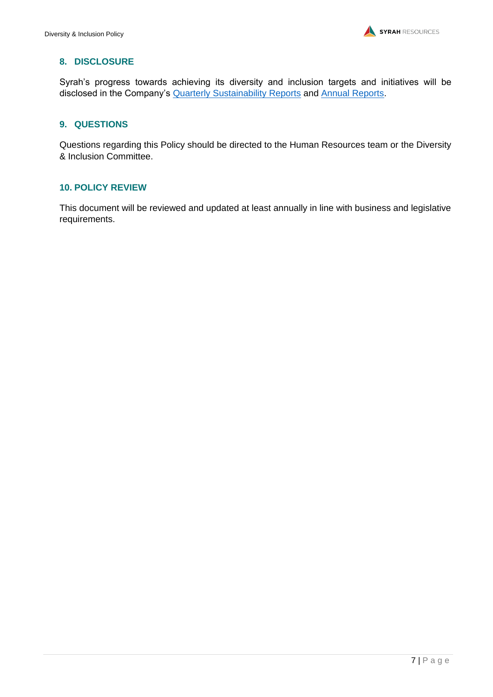# <span id="page-7-0"></span>**8. DISCLOSURE**

Syrah's progress towards achieving its diversity and inclusion targets and initiatives will be disclosed in the Company's **Quarterly [Sustainability Reports](http://www.syrahresources.com.au/sustainability-reports)** and **Annual Reports**.

# <span id="page-7-1"></span>**9. QUESTIONS**

Questions regarding this Policy should be directed to the Human Resources team or the Diversity & Inclusion Committee.

# <span id="page-7-2"></span>**10. POLICY REVIEW**

This document will be reviewed and updated at least annually in line with business and legislative requirements.